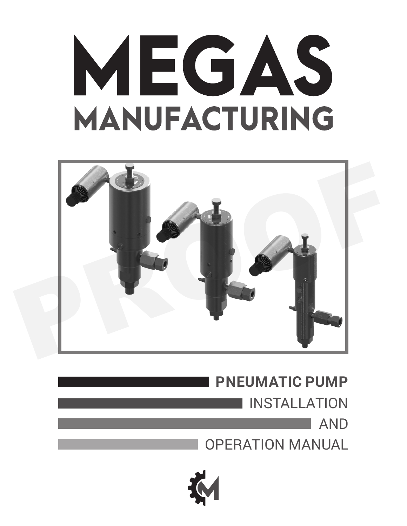# MEGAS MANUFACTURING



**PNEUMATIC PUMP** INSTALLATION AND OPERATION MANUAL

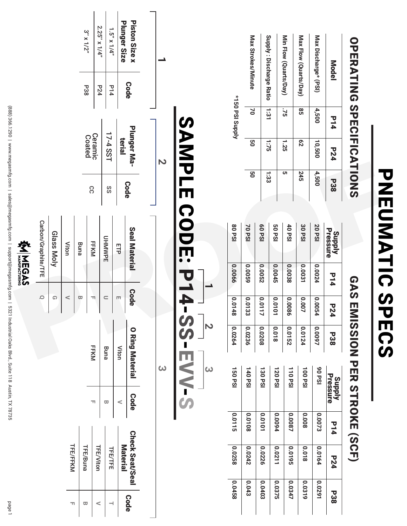| <b>TFE/FFKM</b>          |         |                                  |                                   |                                 |            |                            |             |                                |                   |             |                         |
|--------------------------|---------|----------------------------------|-----------------------------------|---------------------------------|------------|----------------------------|-------------|--------------------------------|-------------------|-------------|-------------------------|
|                          |         |                                  |                                   | $\circ$                         |            | Carbon/Graphite/TFE        |             |                                |                   |             |                         |
|                          |         |                                  |                                   | $\Omega$                        |            | Glass Moly                 |             |                                |                   |             |                         |
|                          |         |                                  |                                   | $\,<$                           |            | Viton                      |             |                                |                   |             |                         |
| TFE/Buna                 |         |                                  |                                   | ω                               |            | Buna                       |             |                                |                   |             |                         |
|                          |         | $\overline{\mathbb{L}}$          | FFKM                              | TT.                             |            | FFKM                       | CC          | Ceramic<br>Coated              |                   | <b>P38</b>  | $3'' \times 1/2''$      |
| <b>TFE/Viton</b>         |         | $\overline{\mathbf{u}}$          | Buna                              | $\qquad \qquad \subset$         |            | <b>UHMWPE</b>              |             |                                |                   | P24         | $2.25''$ x 1/4"         |
| <b>TFE/TFE</b>           |         |                                  |                                   |                                 |            |                            | SS          | 17-4 SST                       |                   | P14         | $1.5''$ x $1/4''$       |
| <b>Material</b>          |         | $\,<$                            | Viton                             | $\Box$                          |            | EFP                        | <b>Code</b> | terial                         |                   | <b>Code</b> | Plunger Size            |
| <b>Check Seat/Seal</b>   |         | <b>Code</b>                      | $\bullet$<br><b>Ring Material</b> | <b>Code</b>                     |            | <b>Seal Material</b>       |             | Plunger Ma-                    |                   |             | Piston Size x           |
|                          |         |                                  |                                   |                                 |            |                            |             |                                |                   |             |                         |
|                          |         | ω                                |                                   |                                 |            |                            |             | $\triangleright$               |                   |             | ∸                       |
| 0.0258<br>82700          | 10.0115 | 150 PSI                          | 0.0264                            | 10.0<br>48                      | 0.0066     | <b>80 PSI</b>              |             |                                | «ISO PSI Supply   |             |                         |
| 0.0242<br>0.043          | 80100   | 140PSI                           | 0.0236                            | 10.0<br>အိ                      | 6900'0     | 70 PSI                     | 9g          | 9g                             | $\mathsf{S}$      |             | Max Strokes/Minute      |
| 0.0226<br>E0+0'0         | 101010  | 130 PSI                          | 0.0208                            | 10.0<br>$\overline{L}$          | 2900.0     | <b>60PSI</b>               | 1:33        | 1:75                           | $\frac{1:3}{1:3}$ |             | Supply: Discharge Ratio |
| 0.0211<br>0.0375         | 0.0094  | 120PSI                           | 810'0                             | 10.0<br>$\overline{\mathbf{c}}$ | 0.0045     | <b>50 PSI</b>              |             |                                |                   |             |                         |
| 5610'0<br>0.0347         | 0.0087  | 110PSI                           | 0.0152                            | 0.0086                          | 0.0038     | 40PSI                      | <b>σ</b> τ  | 1.25                           | .75               |             | Min Flow (Quarts/Day)   |
| 810'0<br>0.0319          | 8000    | 100 PSI                          | 0.0124                            | 0.007                           | 0.0031     | 30 PSI                     | <b>245</b>  | $\overline{c}$                 | 95                |             | Max Flow (Quarts/Day)   |
| 0.0164<br>10201          | 0.0073  | ISd 06                           | 0.0097                            | 10.0054                         | 0.0024     | <b>20 PSI</b>              | 4,500       | 10,500                         | 4,500             |             | Max Discharge* (PSI)    |
| <b>P24</b><br><b>P38</b> | P14     | Supply<br>Pressure               | <b>P38</b>                        | <b>P24</b>                      | P14        | <b>Supply<br/>Pressure</b> | <b>P38</b>  | <b>P24</b>                     | P14               |             | Model                   |
|                          |         | <b>EMISSION PER STROKE (SCF)</b> |                                   |                                 | <b>GAS</b> |                            |             | <b>OPERATING SPECIFICATING</b> |                   |             |                         |

(888) 366.1290 | www.megasmfg.com | sales@megasmfg.com | support@megasmfg.com | 5321 Industrial Oaks Blvd., Suite 118 Austin, TX 78735 (888) 366.1290 | www.megasmfg.com | sales@megasmfg.com | support@megasmfg.com | 5321 Industrial Oaks Blvd., Suite 118 Austin, TX 78735

page 1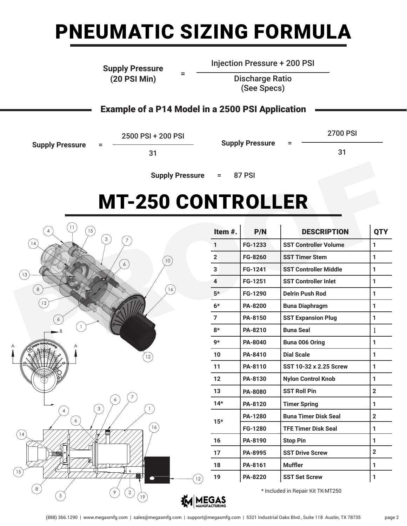# PNEUMATIC SIZING FORMULA

#### **Supply Pressure (20 PSI Min)** <sup>=</sup>

Injection Pressure + 200 PSI

Discharge Ratio (See Specs)

#### Example of a P14 Model in a 2500 PSI Application

**Supply Pressure** 

2500 PSI + 200 PSI

31

**Supply Pressure** 

2700 PSI

31

**Supply Pressure** = 87 PSI

#### <u>2002: 2002: 2002: 2002: 200</u> 1 FG-1233 Timer Volume Body 1 2 FG-8260 Timer Stem 1 MT-250 CONTROLLER



 $\overline{\phantom{a}}$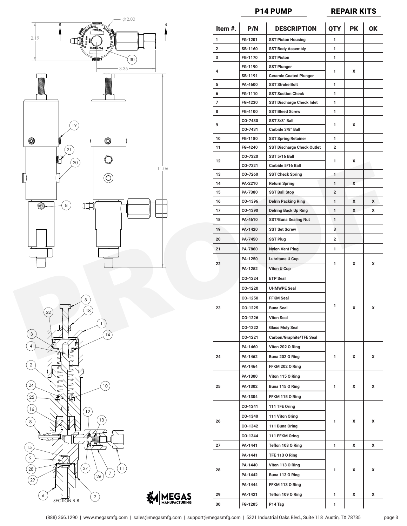





**MEGAS** 

P14 PUMP

<u>P14 PUMP REPAIR KITS.</u>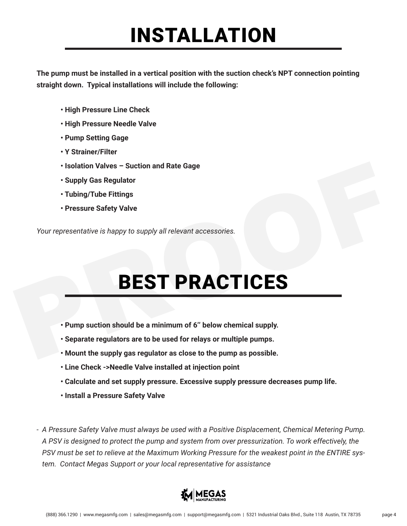#### INSTALLATION

**The pump must be installed in a vertical position with the suction check's NPT connection pointing straight down. Typical installations will include the following:**

- **High Pressure Line Check**
- **High Pressure Needle Valve**
- **Pump Setting Gage**
- **Y Strainer/Filter**
- **Isolation Valves Suction and Rate Gage**
- **Supply Gas Regulator**
- **Tubing/Tube Fittings**
- **Pressure Safety Valve**

*Your representative is happy to supply all relevant accessories.* 

# BEST PRACTICES • Isolation Valves – Suction and Rate Gage<br>• Supply Gas Regulator<br>• Tubing/Tube Fittings<br>• Pressure Safety Valve<br>• Your representative is happy to supply all relevant accessories.<br>• Pump suction should be a minimum of 6" b

- **Pump suction should be a minimum of 6'' below chemical supply.**
- **Separate regulators are to be used for relays or multiple pumps.**
- **Mount the supply gas regulator as close to the pump as possible.**
- **Line Check ->Needle Valve installed at injection point**
- **Calculate and set supply pressure. Excessive supply pressure decreases pump life.**
- **Install a Pressure Safety Valve**

*- A Pressure Safety Valve must always be used with a Positive Displacement, Chemical Metering Pump. A PSV is designed to protect the pump and system from over pressurization. To work effectively, the PSV must be set to relieve at the Maximum Working Pressure for the weakest point in the ENTIRE system. Contact Megas Support or your local representative for assistance* 

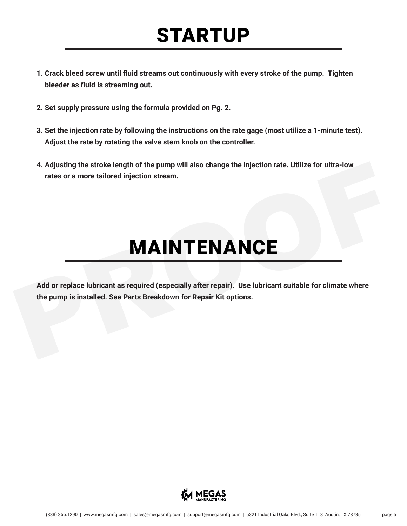## STARTUP

- **1. Crack bleed screw until fluid streams out continuously with every stroke of the pump. Tighten bleeder as fluid is streaming out.**
- **2. Set supply pressure using the formula provided on Pg. 2.**
- **3. Set the injection rate by following the instructions on the rate gage (most utilize a 1-minute test). Adjust the rate by rotating the valve stem knob on the controller.**
- **4. Adjusting the stroke length of the pump will also change the injection rate. Utilize for ultra-low rates or a more tailored injection stream.**

### MAINTENANCE

**Add or replace lubricant as required (especially after repair). Use lubricant suitable for climate where the pump is installed. See Parts Breakdown for Repair Kit options.** PROOF